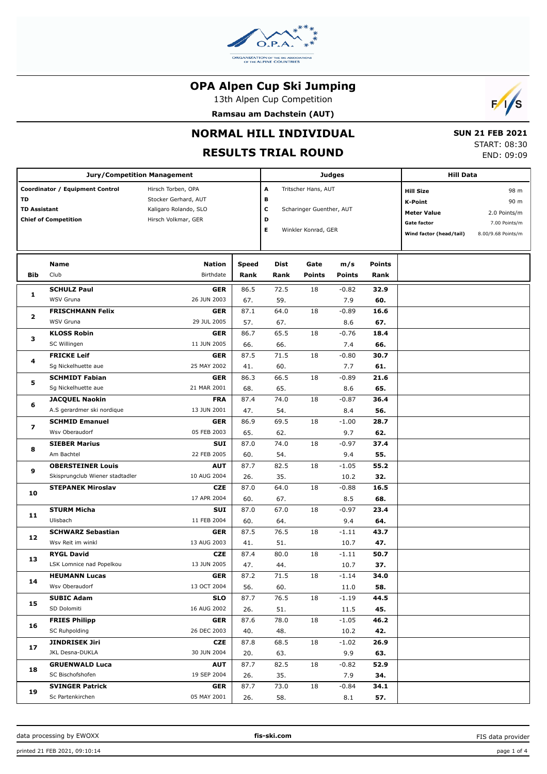

13th Alpen Cup Competition

**Ramsau am Dachstein (AUT)**



# **NORMAL HILL INDIVIDUAL**

## **RESULTS TRIAL ROUND**

 **SUN 21 FEB 2021** START: 08:30 END: 09:09

|                                                    | <b>Jury/Competition Management</b> |                       |              |                          |                          | Judges        |                    | <b>Hill Data</b>        |                    |
|----------------------------------------------------|------------------------------------|-----------------------|--------------|--------------------------|--------------------------|---------------|--------------------|-------------------------|--------------------|
|                                                    | Coordinator / Equipment Control    | Hirsch Torben, OPA    |              | A                        | Tritscher Hans, AUT      |               |                    | <b>Hill Size</b>        | 98 m               |
| TD                                                 |                                    | Stocker Gerhard, AUT  |              | в                        |                          |               |                    | <b>K-Point</b>          | 90 m               |
| <b>TD Assistant</b><br><b>Chief of Competition</b> |                                    | Kaligaro Rolando, SLO |              | c                        | Scharinger Guenther, AUT |               | <b>Meter Value</b> | 2.0 Points/m            |                    |
|                                                    |                                    | Hirsch Volkmar, GER   | D            |                          |                          |               |                    | <b>Gate factor</b>      | 7.00 Points/m      |
|                                                    |                                    |                       |              | Е<br>Winkler Konrad, GER |                          |               |                    | Wind factor (head/tail) | 8.00/9.68 Points/m |
|                                                    |                                    |                       |              |                          |                          |               |                    |                         |                    |
|                                                    |                                    |                       |              |                          |                          |               |                    |                         |                    |
|                                                    | <b>Name</b>                        | <b>Nation</b>         | <b>Speed</b> | <b>Dist</b>              | Gate                     | m/s           | <b>Points</b>      |                         |                    |
| <b>Bib</b>                                         | Club                               | Birthdate             | Rank         | Rank                     | <b>Points</b>            | <b>Points</b> | Rank               |                         |                    |
| 1                                                  | <b>SCHULZ Paul</b>                 | <b>GER</b>            | 86.5         | 72.5                     | 18                       | $-0.82$       | 32.9               |                         |                    |
|                                                    | WSV Gruna                          | 26 JUN 2003           | 67.          | 59.                      |                          | 7.9           | 60.                |                         |                    |
| $\mathbf{2}$                                       | <b>FRISCHMANN Felix</b>            | <b>GER</b>            | 87.1         | 64.0                     | 18                       | $-0.89$       | 16.6               |                         |                    |
|                                                    | WSV Gruna                          | 29 JUL 2005           | 57.          | 67.                      |                          | 8.6           | 67.                |                         |                    |
|                                                    | <b>KLOSS Robin</b>                 | <b>GER</b>            | 86.7         | 65.5                     | 18                       | $-0.76$       | 18.4               |                         |                    |
| з                                                  | SC Willingen                       | 11 JUN 2005           | 66.          | 66.                      |                          | 7.4           | 66.                |                         |                    |
|                                                    | <b>FRICKE Leif</b>                 | <b>GER</b>            | 87.5         | 71.5                     | 18                       | $-0.80$       | 30.7               |                         |                    |
| 4                                                  | Sg Nickelhuette aue                | 25 MAY 2002           | 41.          | 60.                      |                          | 7.7           | 61.                |                         |                    |
|                                                    | <b>SCHMIDT Fabian</b>              | <b>GER</b>            | 86.3         | 66.5                     | 18                       | $-0.89$       | 21.6               |                         |                    |
| 5                                                  | Sq Nickelhuette aue                | 21 MAR 2001           | 68.          | 65.                      |                          | 8.6           | 65.                |                         |                    |
|                                                    | <b>JACQUEL Naokin</b>              | <b>FRA</b>            | 87.4         | 74.0                     | 18                       | $-0.87$       | 36.4               |                         |                    |
| 6                                                  | A.S gerardmer ski nordique         | 13 JUN 2001           | 47.          | 54.                      |                          | 8.4           | 56.                |                         |                    |
|                                                    | <b>SCHMID Emanuel</b>              | <b>GER</b>            | 86.9         | 69.5                     | 18                       | $-1.00$       | 28.7               |                         |                    |
| 7                                                  | Wsv Oberaudorf                     | 05 FEB 2003           | 65.          | 62.                      |                          | 9.7           | 62.                |                         |                    |
|                                                    |                                    | <b>SUI</b>            |              |                          |                          |               |                    |                         |                    |
| 8                                                  | <b>SIEBER Marius</b>               |                       | 87.0         | 74.0                     | 18                       | $-0.97$       | 37.4               |                         |                    |
|                                                    | Am Bachtel                         | 22 FEB 2005           | 60.          | 54.                      |                          | 9.4           | 55.                |                         |                    |
| 9                                                  | <b>OBERSTEINER Louis</b>           | <b>AUT</b>            | 87.7         | 82.5                     | 18                       | $-1.05$       | 55.2               |                         |                    |
|                                                    | Skisprungclub Wiener stadtadler    | 10 AUG 2004           | 26.          | 35.                      |                          | 10.2          | 32.                |                         |                    |
| 10                                                 | <b>STEPANEK Miroslav</b>           | <b>CZE</b>            | 87.0         | 64.0                     | 18                       | $-0.88$       | 16.5               |                         |                    |
|                                                    |                                    | 17 APR 2004           | 60.          | 67.                      |                          | 8.5           | 68.                |                         |                    |
| 11                                                 | <b>STURM Micha</b>                 | <b>SUI</b>            | 87.0         | 67.0                     | 18                       | $-0.97$       | 23.4               |                         |                    |
|                                                    | Ulisbach                           | 11 FEB 2004           | 60.          | 64.                      |                          | 9.4           | 64.                |                         |                    |
| 12                                                 | <b>SCHWARZ Sebastian</b>           | <b>GER</b>            | 87.5         | 76.5                     | 18                       | $-1.11$       | 43.7               |                         |                    |
|                                                    | Wsv Reit im winkl                  | 13 AUG 2003           | 41.          | 51.                      |                          | 10.7          | 47.                |                         |                    |
| 13                                                 | <b>RYGL David</b>                  | <b>CZE</b>            | 87.4         | 80.0                     | 18                       | $-1.11$       | 50.7               |                         |                    |
|                                                    | LSK Lomnice nad Popelkou           | 13 JUN 2005           | 47.          | 44.                      |                          | 10.7          | 37.                |                         |                    |
|                                                    | <b>HEUMANN Lucas</b>               | GER                   | 87.2         | 71.5                     | 18                       | -1.14         | 34.0               |                         |                    |
| 14                                                 | Wsv Oberaudorf                     | 13 OCT 2004           | 56.          | 60.                      |                          | 11.0          | 58.                |                         |                    |
|                                                    | <b>SUBIC Adam</b>                  | <b>SLO</b>            | 87.7         | 76.5                     | 18                       | $-1.19$       | 44.5               |                         |                    |
| 15                                                 | SD Dolomiti                        | 16 AUG 2002           | 26.          | 51.                      |                          | 11.5          | 45.                |                         |                    |
|                                                    | <b>FRIES Philipp</b>               | <b>GER</b>            | 87.6         | 78.0                     | 18                       | $-1.05$       | 46.2               |                         |                    |
| 16                                                 | SC Ruhpolding                      | 26 DEC 2003           | 40.          | 48.                      |                          | 10.2          | 42.                |                         |                    |
|                                                    | <b>JINDRISEK Jiri</b>              | CZE                   | 87.8         | 68.5                     | 18                       | $-1.02$       | 26.9               |                         |                    |
| 17                                                 | JKL Desna-DUKLA                    | 30 JUN 2004           | 20.          | 63.                      |                          | 9.9           | 63.                |                         |                    |
|                                                    | <b>GRUENWALD Luca</b>              | <b>AUT</b>            | 87.7         | 82.5                     | 18                       | $-0.82$       | 52.9               |                         |                    |
| 18                                                 | SC Bischofshofen                   | 19 SEP 2004           | 26.          | 35.                      |                          | 7.9           | 34.                |                         |                    |
|                                                    | <b>SVINGER Patrick</b>             | <b>GER</b>            | 87.7         | 73.0                     | 18                       | $-0.84$       | 34.1               |                         |                    |
| 19                                                 | Sc Partenkirchen                   | 05 MAY 2001           | 26.          | 58.                      |                          | 8.1           | 57.                |                         |                    |
|                                                    |                                    |                       |              |                          |                          |               |                    |                         |                    |

FIS data provider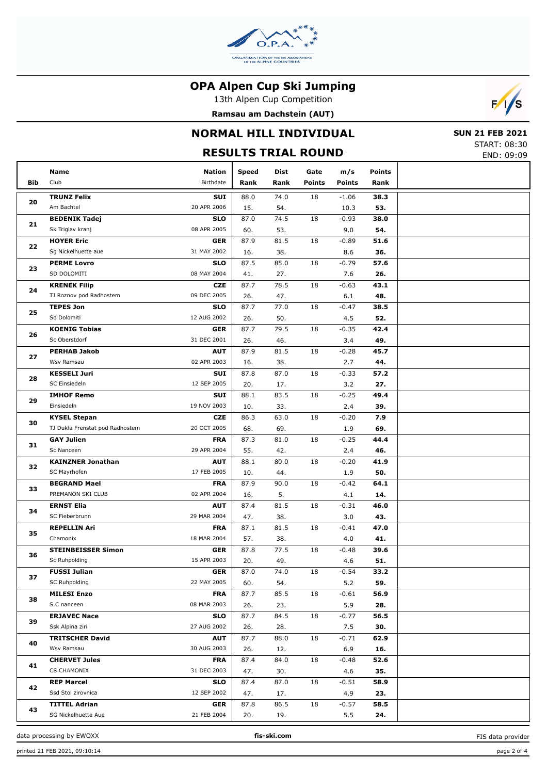

13th Alpen Cup Competition

**Ramsau am Dachstein (AUT)**



### **NORMAL HILL INDIVIDUAL**

# **RESULTS TRIAL ROUND**

|  | <b>SUN 21 FEB 2021</b> |
|--|------------------------|
|  | START: 08:30           |
|  | END: 09:09             |

|     | Name                              | Nation      | <b>Speed</b> | Dist | Gate            | m/s           | <b>Points</b> |  |
|-----|-----------------------------------|-------------|--------------|------|-----------------|---------------|---------------|--|
| Bib | Club                              | Birthdate   | Rank         | Rank | <b>Points</b>   | <b>Points</b> | Rank          |  |
|     | <b>TRUNZ Felix</b>                | SUI         | 88.0         | 74.0 | 18              | $-1.06$       | 38.3          |  |
| 20  | Am Bachtel                        | 20 APR 2006 | 15.          | 54.  |                 | 10.3          | 53.           |  |
|     | <b>BEDENIK Tadej</b>              | <b>SLO</b>  | 87.0         | 74.5 | 18              | $-0.93$       | 38.0          |  |
| 21  | Sk Triglav kranj                  | 08 APR 2005 | 60.          | 53.  |                 | 9.0           | 54.           |  |
|     |                                   |             |              |      |                 |               |               |  |
| 22  | <b>HOYER Eric</b>                 | <b>GER</b>  | 87.9         | 81.5 | 18              | $-0.89$       | 51.6          |  |
|     | Sg Nickelhuette aue               | 31 MAY 2002 | 16.          | 38.  |                 | 8.6           | 36.           |  |
| 23  | <b>PERME Lovro</b>                | <b>SLO</b>  | 87.5         | 85.0 | 18              | $-0.79$       | 57.6          |  |
|     | SD DOLOMITI                       | 08 MAY 2004 | 41.          | 27.  |                 | 7.6           | 26.           |  |
| 24  | <b>KRENEK Filip</b>               | <b>CZE</b>  | 87.7         | 78.5 | 18              | $-0.63$       | 43.1          |  |
|     | TJ Roznov pod Radhostem           | 09 DEC 2005 | 26.          | 47.  |                 | 6.1           | 48.           |  |
| 25  | <b>TEPES Jon</b>                  | <b>SLO</b>  | 87.7         | 77.0 | 18              | $-0.47$       | 38.5          |  |
|     | Sd Dolomiti                       | 12 AUG 2002 | 26.          | 50.  |                 | 4.5           | 52.           |  |
| 26  | <b>KOENIG Tobias</b>              | <b>GER</b>  | 87.7         | 79.5 | 18              | $-0.35$       | 42.4          |  |
|     | Sc Oberstdorf                     | 31 DEC 2001 | 26.          | 46.  |                 | 3.4           | 49.           |  |
| 27  | <b>PERHAB Jakob</b>               | <b>AUT</b>  | 87.9         | 81.5 | 18              | $-0.28$       | 45.7          |  |
|     | Wsv Ramsau                        | 02 APR 2003 | 16.          | 38.  |                 | 2.7           | 44.           |  |
| 28  | <b>KESSELI Juri</b>               | SUI         | 87.8         | 87.0 | 18              | $-0.33$       | 57.2          |  |
|     | SC Einsiedeln                     | 12 SEP 2005 | 20.          | 17.  |                 | 3.2           | 27.           |  |
|     | <b>IMHOF Remo</b>                 | SUI         | 88.1         | 83.5 | 18              | $-0.25$       | 49.4          |  |
| 29  | Einsiedeln                        | 19 NOV 2003 | 10.          | 33.  |                 | 2.4           | 39.           |  |
|     | <b>KYSEL Stepan</b>               | <b>CZE</b>  | 86.3         | 63.0 | 18              | $-0.20$       | 7.9           |  |
| 30  | TJ Dukla Frenstat pod Radhostem   | 20 OCT 2005 | 68.          | 69.  |                 | 1.9           | 69.           |  |
|     | <b>GAY Julien</b>                 | <b>FRA</b>  | 87.3         | 81.0 | 18              | $-0.25$       | 44.4          |  |
| 31  | Sc Nanceen                        | 29 APR 2004 | 55.          | 42.  |                 | 2.4           | 46.           |  |
|     | <b>KAINZNER Jonathan</b>          | <b>AUT</b>  | 88.1         | 80.0 | 18              | $-0.20$       | 41.9          |  |
| 32  | SC Mayrhofen                      | 17 FEB 2005 | 10.          | 44.  |                 | 1.9           | 50.           |  |
|     | <b>BEGRAND Mael</b>               | <b>FRA</b>  | 87.9         | 90.0 | 18              | $-0.42$       | 64.1          |  |
| 33  | PREMANON SKI CLUB                 | 02 APR 2004 | 16.          | 5.   |                 | 4.1           | 14.           |  |
|     | <b>ERNST Elia</b>                 | <b>AUT</b>  | 87.4         | 81.5 | 18              | $-0.31$       | 46.0          |  |
| 34  | SC Fieberbrunn                    | 29 MAR 2004 | 47.          | 38.  |                 | 3.0           | 43.           |  |
|     | <b>REPELLIN Ari</b>               | <b>FRA</b>  | 87.1         | 81.5 | 18              | $-0.41$       | 47.0          |  |
| 35  | Chamonix                          | 18 MAR 2004 | 57.          | 38.  |                 | 4.0           | 41.           |  |
|     | <b>STEINBEISSER Simon</b>         | <b>GER</b>  | 87.8         | 77.5 | 18              | $-0.48$       | 39.6          |  |
| 36  | Sc Ruhpolding                     | 15 APR 2003 | 20.          | 49.  |                 | 4.6           | 51.           |  |
|     | <b>FUSSI Julian</b>               | <b>GER</b>  | 87.0         | 74.0 | $\overline{18}$ |               |               |  |
| 37  | SC Ruhpolding                     | 22 MAY 2005 |              |      |                 | $-0.54$       | 33.2          |  |
|     |                                   | <b>FRA</b>  | 60.          | 54.  |                 | 5.2           | 59.           |  |
| 38  | <b>MILESI Enzo</b><br>S.C nanceen |             | 87.7         | 85.5 | 18              | $-0.61$       | 56.9          |  |
|     |                                   | 08 MAR 2003 | 26.          | 23.  |                 | 5.9           | 28.           |  |
| 39  | <b>ERJAVEC Nace</b>               | <b>SLO</b>  | 87.7         | 84.5 | 18              | $-0.77$       | 56.5          |  |
|     | Ssk Alpina ziri                   | 27 AUG 2002 | 26.          | 28.  |                 | 7.5           | 30.           |  |
| 40  | <b>TRITSCHER David</b>            | <b>AUT</b>  | 87.7         | 88.0 | 18              | $-0.71$       | 62.9          |  |
|     | Wsv Ramsau                        | 30 AUG 2003 | 26.          | 12.  |                 | 6.9           | 16.           |  |
| 41  | <b>CHERVET Jules</b>              | <b>FRA</b>  | 87.4         | 84.0 | 18              | $-0.48$       | 52.6          |  |
|     | CS CHAMONIX                       | 31 DEC 2003 | 47.          | 30.  |                 | 4.6           | 35.           |  |
| 42  | <b>REP Marcel</b>                 | <b>SLO</b>  | 87.4         | 87.0 | 18              | $-0.51$       | 58.9          |  |
|     | Ssd Stol zirovnica                | 12 SEP 2002 | 47.          | 17.  |                 | 4.9           | 23.           |  |
| 43  | <b>TITTEL Adrian</b>              | <b>GER</b>  | 87.8         | 86.5 | 18              | $-0.57$       | 58.5          |  |
|     | SG Nickelhuette Aue               | 21 FEB 2004 | 20.          | 19.  |                 | 5.5           | 24.           |  |

data processing by EWOXX **fis-ski.com**

FIS data provider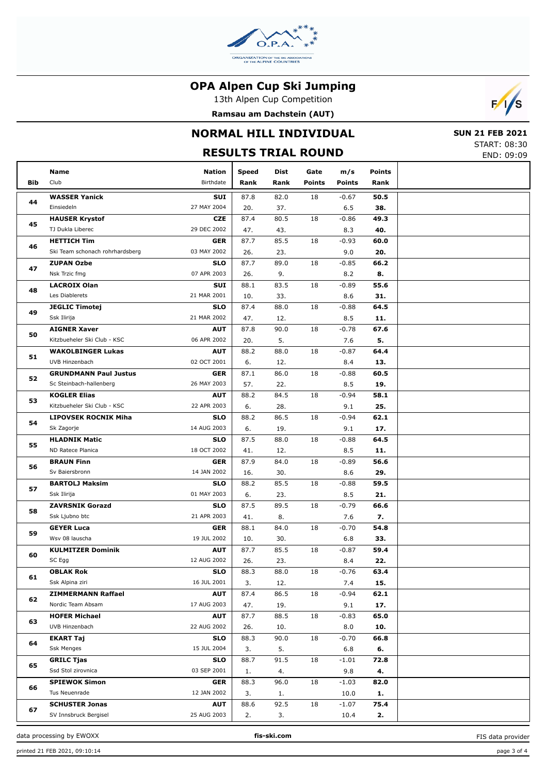

13th Alpen Cup Competition

**Ramsau am Dachstein (AUT)**



### **NORMAL HILL INDIVIDUAL**

# **RESULTS TRIAL ROUND**

 **SUN 21 FEB 2021** START: 08:30 END: 09:09

|     |                                                       |                           |              |      |               |               |               | END. 09.09 |
|-----|-------------------------------------------------------|---------------------------|--------------|------|---------------|---------------|---------------|------------|
|     | Name                                                  | Nation                    | <b>Speed</b> | Dist | Gate          | m/s           | <b>Points</b> |            |
| Bib | Club                                                  | Birthdate                 | Rank         | Rank | <b>Points</b> | <b>Points</b> | Rank          |            |
|     | <b>WASSER Yanick</b>                                  | SUI                       | 87.8         | 82.0 | 18            | $-0.67$       |               |            |
| 44  | Einsiedeln                                            | 27 MAY 2004               | 20.          |      |               |               | 50.5          |            |
|     |                                                       | <b>CZE</b>                |              | 37.  |               | 6.5           | 38.           |            |
| 45  | <b>HAUSER Krystof</b><br>TJ Dukla Liberec             | 29 DEC 2002               | 87.4         | 80.5 | 18            | $-0.86$       | 49.3          |            |
|     |                                                       |                           | 47.          | 43.  |               | 8.3           | 40.           |            |
| 46  | <b>HETTICH Tim</b><br>Ski Team schonach rohrhardsberg | <b>GER</b><br>03 MAY 2002 | 87.7         | 85.5 | 18            | $-0.93$       | 60.0          |            |
|     |                                                       |                           | 26.<br>87.7  | 23.  |               | 9.0           | 20.           |            |
| 47  | <b>ZUPAN Ozbe</b><br>Nsk Trzic fmg                    | <b>SLO</b><br>07 APR 2003 |              | 89.0 | 18            | $-0.85$       | 66.2          |            |
|     |                                                       |                           | 26.          | 9.   |               | 8.2           | 8.            |            |
| 48  | <b>LACROIX Olan</b><br>Les Diablerets                 | SUI<br>21 MAR 2001        | 88.1         | 83.5 | 18            | $-0.89$       | 55.6          |            |
|     |                                                       |                           | 10.          | 33.  |               | 8.6           | 31.           |            |
| 49  | <b>JEGLIC Timotej</b>                                 | <b>SLO</b>                | 87.4         | 88.0 | 18            | $-0.88$       | 64.5          |            |
|     | Ssk Ilirija                                           | 21 MAR 2002               | 47.          | 12.  |               | 8.5           | 11.           |            |
| 50  | <b>AIGNER Xaver</b>                                   | <b>AUT</b>                | 87.8         | 90.0 | 18            | $-0.78$       | 67.6          |            |
|     | Kitzbueheler Ski Club - KSC                           | 06 APR 2002               | 20.          | 5.   |               | 7.6           | 5.            |            |
| 51  | <b>WAKOLBINGER Lukas</b>                              | <b>AUT</b>                | 88.2         | 88.0 | 18            | $-0.87$       | 64.4          |            |
|     | UVB Hinzenbach                                        | 02 OCT 2001               | 6.           | 12.  |               | 8.4           | 13.           |            |
| 52  | <b>GRUNDMANN Paul Justus</b>                          | <b>GER</b>                | 87.1         | 86.0 | 18            | $-0.88$       | 60.5          |            |
|     | Sc Steinbach-hallenberg                               | 26 MAY 2003               | 57.          | 22.  |               | 8.5           | 19.           |            |
| 53  | <b>KOGLER Elias</b>                                   | <b>AUT</b>                | 88.2         | 84.5 | 18            | $-0.94$       | 58.1          |            |
|     | Kitzbueheler Ski Club - KSC                           | 22 APR 2003               | 6.           | 28.  |               | 9.1           | 25.           |            |
| 54  | <b>LIPOVSEK ROCNIK Miha</b>                           | <b>SLO</b>                | 88.2         | 86.5 | 18            | $-0.94$       | 62.1          |            |
|     | Sk Zagorje                                            | 14 AUG 2003               | 6.           | 19.  |               | 9.1           | 17.           |            |
| 55  | <b>HLADNIK Matic</b>                                  | <b>SLO</b>                | 87.5         | 88.0 | 18            | $-0.88$       | 64.5          |            |
|     | ND Ratece Planica                                     | 18 OCT 2002               | 41.          | 12.  |               | 8.5           | 11.           |            |
| 56  | <b>BRAUN Finn</b>                                     | <b>GER</b>                | 87.9         | 84.0 | 18            | $-0.89$       | 56.6          |            |
|     | Sv Baiersbronn                                        | 14 JAN 2002               | 16.          | 30.  |               | 8.6           | 29.           |            |
| 57  | <b>BARTOLJ Maksim</b>                                 | <b>SLO</b>                | 88.2         | 85.5 | 18            | $-0.88$       | 59.5          |            |
|     | Ssk Ilirija                                           | 01 MAY 2003               | 6.           | 23.  |               | 8.5           | 21.           |            |
| 58  | <b>ZAVRSNIK Gorazd</b>                                | <b>SLO</b>                | 87.5         | 89.5 | 18            | $-0.79$       | 66.6          |            |
|     | Ssk Ljubno btc                                        | 21 APR 2003               | 41.          | 8.   |               | 7.6           | 7.            |            |
| 59  | <b>GEYER Luca</b>                                     | <b>GER</b>                | 88.1         | 84.0 | 18            | $-0.70$       | 54.8          |            |
|     | Wsv 08 lauscha                                        | 19 JUL 2002               | 10.          | 30.  |               | 6.8           | 33.           |            |
| 60  | <b>KULMITZER Dominik</b>                              | <b>AUT</b>                | 87.7         | 85.5 | 18            | $-0.87$       | 59.4          |            |
|     | SC Egg                                                | 12 AUG 2002               | 26.          | 23.  |               | 8.4           | 22.           |            |
| 61  | <b>OBLAK Rok</b>                                      | SLO                       | 88.3         | 88.0 | 18            | $-0.76$       | 63.4          |            |
|     | Ssk Alpina ziri                                       | 16 JUL 2001               | 3.           | 12.  |               | 7.4           | 15.           |            |
| 62  | <b>ZIMMERMANN Raffael</b>                             | <b>AUT</b>                | 87.4         | 86.5 | 18            | $-0.94$       | 62.1          |            |
|     | Nordic Team Absam                                     | 17 AUG 2003               | 47.          | 19.  |               | 9.1           | 17.           |            |
| 63  | <b>HOFER Michael</b>                                  | <b>AUT</b>                | 87.7         | 88.5 | 18            | $-0.83$       | 65.0          |            |
|     | UVB Hinzenbach                                        | 22 AUG 2002               | 26.          | 10.  |               | 8.0           | 10.           |            |
|     | <b>EKART Taj</b>                                      | <b>SLO</b>                | 88.3         | 90.0 | 18            | $-0.70$       | 66.8          |            |
| 64  | <b>Ssk Menges</b>                                     | 15 JUL 2004               | 3.           | 5.   |               | 6.8           | 6.            |            |
|     | <b>GRILC Tjas</b>                                     | <b>SLO</b>                | 88.7         | 91.5 | 18            | $-1.01$       | 72.8          |            |
| 65  | Ssd Stol zirovnica                                    | 03 SEP 2001               | 1.           | 4.   |               | 9.8           | 4.            |            |
|     | <b>SPIEWOK Simon</b>                                  | GER                       | 88.3         | 96.0 | 18            | $-1.03$       | 82.0          |            |
| 66  | Tus Neuenrade                                         | 12 JAN 2002               | 3.           | 1.   |               | 10.0          | 1.            |            |
|     | <b>SCHUSTER Jonas</b>                                 | <b>AUT</b>                | 88.6         | 92.5 | 18            | $-1.07$       | 75.4          |            |
| 67  | SV Innsbruck Bergisel                                 | 25 AUG 2003               | 2.           | 3.   |               | 10.4          | 2.            |            |

data processing by EWOXX **fis-ski.com**

FIS data provider